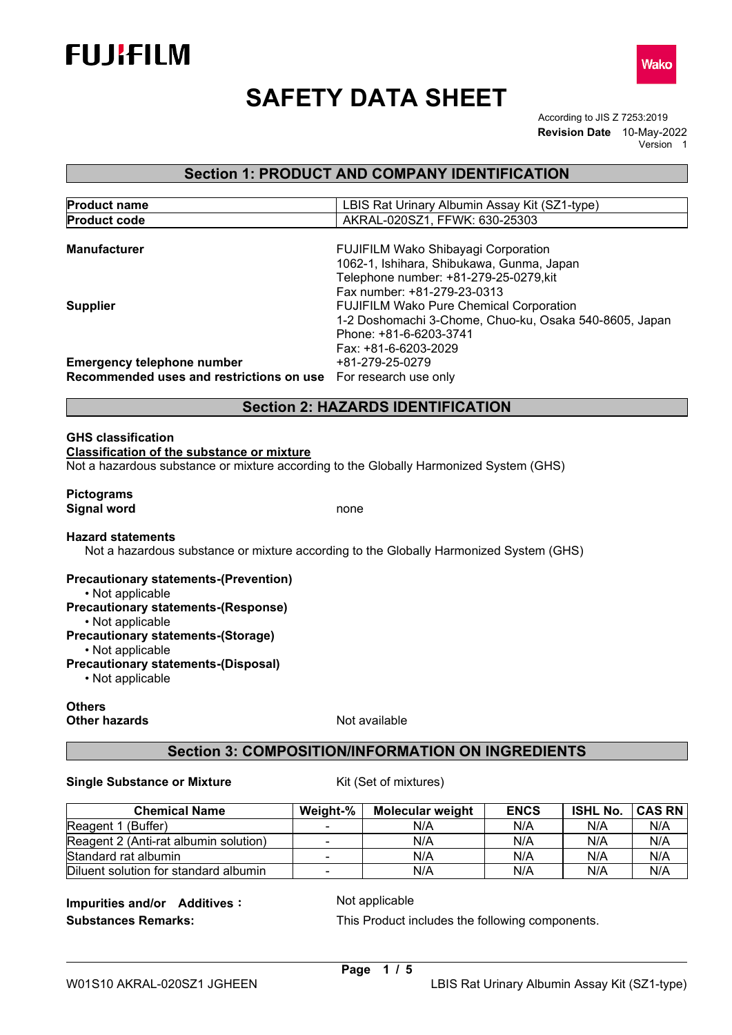

# **SAFETY DATA SHEET**

According to JIS Z 7253:2019 **Revision Date** 10-May-2022 Version 1

# **Section 1: PRODUCT AND COMPANY IDENTIFICATION**

| <b>Product name</b>                                            | LBIS Rat Urinary Albumin Assay Kit (SZ1-type)          |
|----------------------------------------------------------------|--------------------------------------------------------|
| <b>Product code</b>                                            | AKRAL-020SZ1, FFWK: 630-25303                          |
|                                                                |                                                        |
| <b>Manufacturer</b>                                            | <b>FUJIFILM Wako Shibayagi Corporation</b>             |
|                                                                | 1062-1, Ishihara, Shibukawa, Gunma, Japan              |
|                                                                | Telephone number: +81-279-25-0279, kit                 |
|                                                                | Fax number: +81-279-23-0313                            |
| <b>Supplier</b>                                                | <b>FUJIFILM Wako Pure Chemical Corporation</b>         |
|                                                                | 1-2 Doshomachi 3-Chome, Chuo-ku, Osaka 540-8605, Japan |
|                                                                | Phone: +81-6-6203-3741                                 |
|                                                                | Fax: +81-6-6203-2029                                   |
| <b>Emergency telephone number</b>                              | +81-279-25-0279                                        |
| Recommended uses and restrictions on use For research use only |                                                        |

# **Section 2: HAZARDS IDENTIFICATION**

#### **GHS classification**

**Classification of the substance or mixture**

Not a hazardous substance or mixture according to the Globally Harmonized System (GHS)

#### **Pictograms Signal word** none

#### **Hazard statements**

Not a hazardous substance or mixture according to the Globally Harmonized System (GHS)

#### **Precautionary statements-(Prevention)**

• Not applicable

**Precautionary statements-(Response)**

• Not applicable

**Precautionary statements-(Storage)**

• Not applicable **Precautionary statements-(Disposal)**

• Not applicable

# **Others**

**Other hazards** Not available

# **Section 3: COMPOSITION/INFORMATION ON INGREDIENTS**

#### **Single Substance or Mixture** Kit (Set of mixtures)

**Chemical Name Weight-% | Molecular weight | ENCS | ISHL No. | CAS RN**<br>Buffer) The TRIAN RIA NIA | NIA | NIA | NIA | NIA Reagent 1 (Buffer) N/A N/A<br>Reagent 2 (Anti-rat albumin solution) - N/A N/A Reagent 2 (Anti-rat albumin solution) - N/A N/A N/A N/A Standard rat albumin N/A N/A N/A N/A<br>Diluent solution for standard albumin - N/A N/A N/A N/A Diluent solution for standard albumin | - | N/A | N/A | N/A | N/A

**Impurities and/or Additives:** Not applicable

**Substances Remarks:** This Product includes the following components.

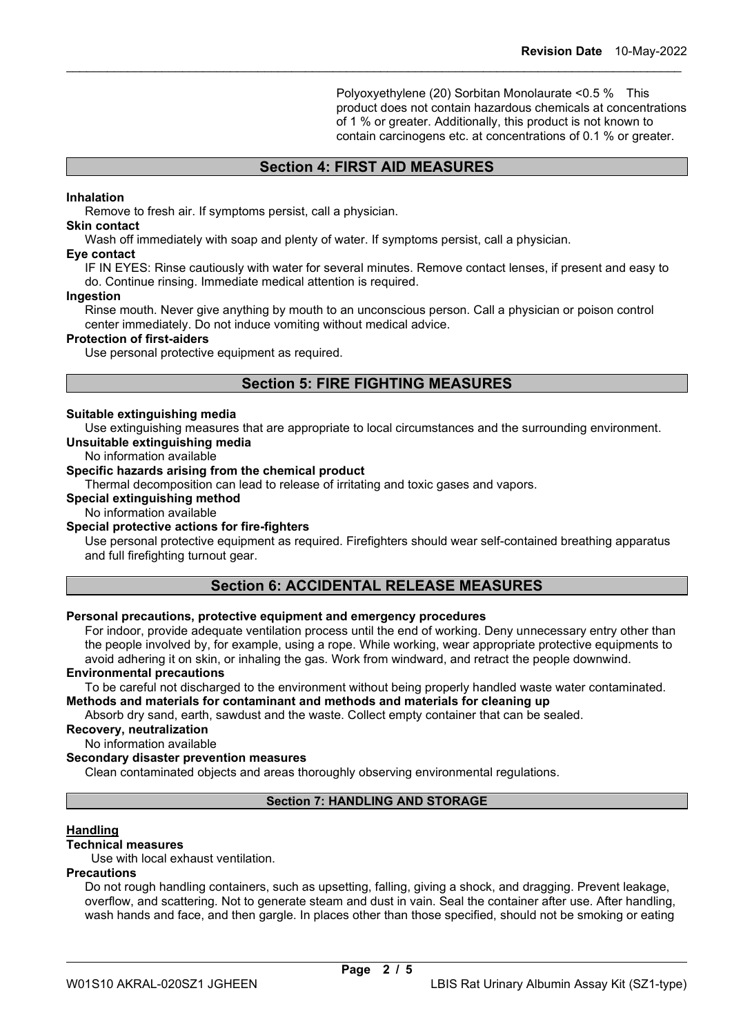Polyoxyethylene (20) Sorbitan Monolaurate <0.5 % This product does not contain hazardous chemicals at concentrations of 1 % or greater. Additionally, this product is not known to contain carcinogens etc. at concentrations of 0.1 % or greater.

# **Section 4: FIRST AID MEASURES**

\_\_\_\_\_\_\_\_\_\_\_\_\_\_\_\_\_\_\_\_\_\_\_\_\_\_\_\_\_\_\_\_\_\_\_\_\_\_\_\_\_\_\_\_\_\_\_\_\_\_\_\_\_\_\_\_\_\_\_\_\_\_\_\_\_\_\_\_\_\_\_\_\_\_\_\_\_\_\_\_\_\_\_\_\_\_\_\_\_\_

#### **Inhalation**

Remove to fresh air. If symptoms persist, call a physician.

## **Skin contact**

Wash off immediately with soap and plenty of water. If symptoms persist, call a physician.

#### **Eye contact**

IF IN EYES: Rinse cautiously with water for several minutes. Remove contact lenses, if present and easy to do. Continue rinsing. Immediate medical attention is required.

#### **Ingestion**

Rinse mouth. Never give anything by mouth to an unconscious person. Call a physician or poison control center immediately. Do not induce vomiting without medical advice.

#### **Protection of first-aiders**

Use personal protective equipment as required.

# **Section 5: FIRE FIGHTING MEASURES**

#### **Suitable extinguishing media**

Use extinguishing measures that are appropriate to local circumstances and the surrounding environment. **Unsuitable extinguishing media**

#### No information available

#### **Specific hazards arising from the chemical product**

Thermal decomposition can lead to release of irritating and toxic gases and vapors.

#### **Special extinguishing method**

No information available

# **Special protective actions for fire-fighters**

Use personal protective equipment as required. Firefighters should wear self-contained breathing apparatus and full firefighting turnout gear.

# **Section 6: ACCIDENTAL RELEASE MEASURES**

#### **Personal precautions, protective equipment and emergency procedures**

For indoor, provide adequate ventilation process until the end of working. Deny unnecessary entry other than the people involved by, for example, using a rope. While working, wear appropriate protective equipments to avoid adhering it on skin, or inhaling the gas. Work from windward, and retract the people downwind.

# **Environmental precautions**

To be careful not discharged to the environment without being properly handled waste water contaminated. **Methods and materials for contaminant and methods and materials for cleaning up**

Absorb dry sand, earth, sawdust and the waste. Collect empty container that can be sealed.

## **Recovery, neutralization**

No information available

# **Secondary disaster prevention measures**

Clean contaminated objects and areas thoroughly observing environmental regulations.

# **Section 7: HANDLING AND STORAGE**

# **Handling**

## **Technical measures**

Use with local exhaust ventilation.

# **Precautions**

Do not rough handling containers, such as upsetting, falling, giving a shock, and dragging. Prevent leakage, overflow, and scattering. Not to generate steam and dust in vain. Seal the container after use. After handling, wash hands and face, and then gargle. In places other than those specified, should not be smoking or eating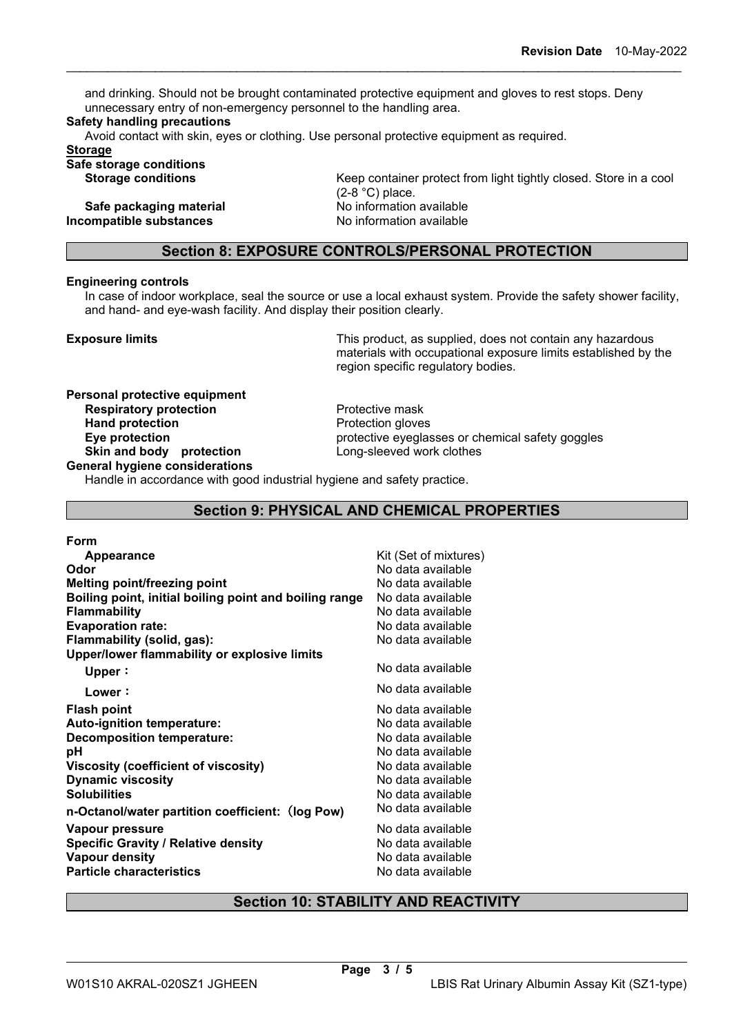and drinking. Should not be brought contaminated protective equipment and gloves to rest stops. Deny unnecessary entry of non-emergency personnel to the handling area.

\_\_\_\_\_\_\_\_\_\_\_\_\_\_\_\_\_\_\_\_\_\_\_\_\_\_\_\_\_\_\_\_\_\_\_\_\_\_\_\_\_\_\_\_\_\_\_\_\_\_\_\_\_\_\_\_\_\_\_\_\_\_\_\_\_\_\_\_\_\_\_\_\_\_\_\_\_\_\_\_\_\_\_\_\_\_\_\_\_\_

#### **Safety handling precautions**

Avoid contact with skin, eyes or clothing. Use personal protective equipment as required.

**Storage**

**Safe storage conditions**

**Safe packaging material and the Safe packaging material noise of the No information available**<br> **No information available**<br> **No information available Incompatible substances** 

Keep container protect from light tightly closed. Store in a cool (2-8 °C) place.

# **Section 8: EXPOSURE CONTROLS/PERSONAL PROTECTION**

#### **Engineering controls**

In case of indoor workplace, seal the source or use a local exhaust system. Provide the safety shower facility, and hand- and eye-wash facility. And display their position clearly.

**Exposure limits** Exposure limits **This product, as supplied, does not contain any hazardous** materials with occupational exposure limits established by the region specific regulatory bodies.

# **Personal protective equipment Respiratory protection**<br> **Respiratory protection**<br> **Protection**Protection gloves **Hand protection**<br>Eye protection **Skin and body protection General hygiene considerations**

protective eyeglasses or chemical safety goggles<br>Long-sleeved work clothes

Handle in accordance with good industrial hygiene and safety practice.

# **Section 9: PHYSICAL AND CHEMICAL PROPERTIES**

| Appearance                                             | Kit (Set of mixtures) |
|--------------------------------------------------------|-----------------------|
| Odor                                                   | No data available     |
| <b>Melting point/freezing point</b>                    | No data available     |
| Boiling point, initial boiling point and boiling range | No data available     |
| <b>Flammability</b>                                    | No data available     |
| <b>Evaporation rate:</b>                               | No data available     |
| Flammability (solid, gas):                             | No data available     |
| Upper/lower flammability or explosive limits           |                       |
| Upper:                                                 | No data available     |
| Lower:                                                 | No data available     |
| <b>Flash point</b>                                     | No data available     |
| Auto-ignition temperature:                             | No data available     |
| <b>Decomposition temperature:</b>                      | No data available     |
| рH                                                     | No data available     |
| Viscosity (coefficient of viscosity)                   | No data available     |
| <b>Dynamic viscosity</b>                               | No data available     |
| <b>Solubilities</b>                                    | No data available     |
| n-Octanol/water partition coefficient: (log Pow)       | No data available     |
| Vapour pressure                                        | No data available     |
| <b>Specific Gravity / Relative density</b>             | No data available     |
| <b>Vapour density</b>                                  | No data available     |
| <b>Particle characteristics</b>                        | No data available     |
|                                                        |                       |

# **Section 10: STABILITY AND REACTIVITY**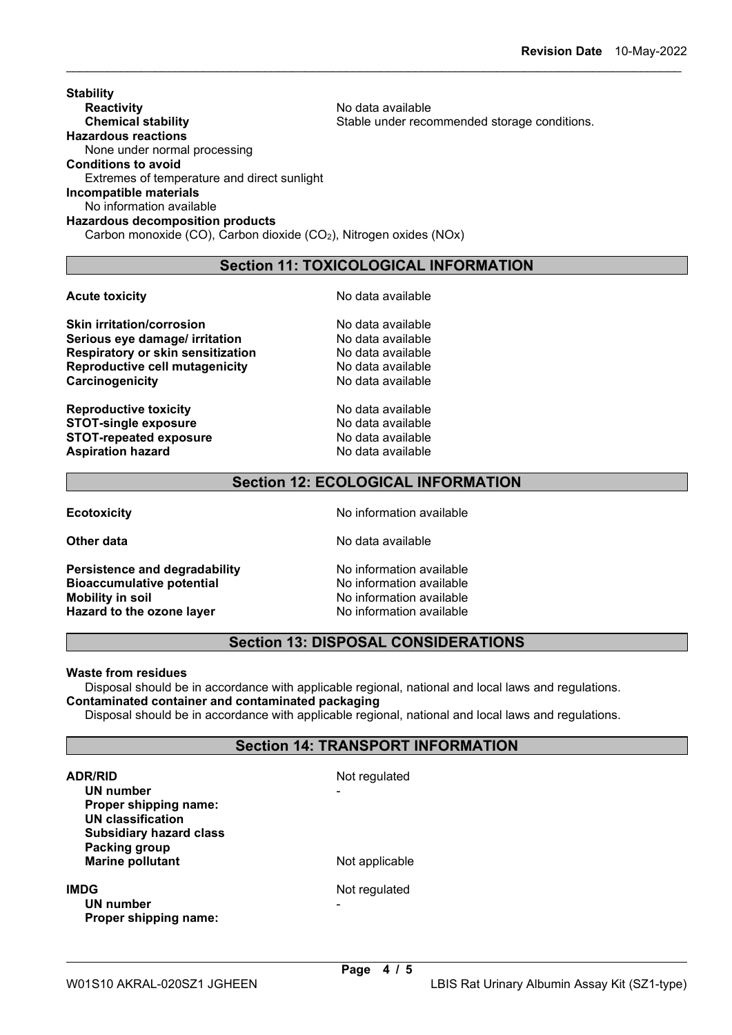#### **Stability Reactivity**<br> **Chemical stability**<br> **Chemical stability**<br> **Chemical stability**<br> **Chemical stability** Stable under recommended storage conditions. **Hazardous reactions** None under normal processing **Conditions to avoid** Extremes of temperature and direct sunlight **Incompatible materials** No information available **Hazardous decomposition products** Carbon monoxide (CO), Carbon dioxide (CO2), Nitrogen oxides (NOx)

# **Section 11: TOXICOLOGICAL INFORMATION**

\_\_\_\_\_\_\_\_\_\_\_\_\_\_\_\_\_\_\_\_\_\_\_\_\_\_\_\_\_\_\_\_\_\_\_\_\_\_\_\_\_\_\_\_\_\_\_\_\_\_\_\_\_\_\_\_\_\_\_\_\_\_\_\_\_\_\_\_\_\_\_\_\_\_\_\_\_\_\_\_\_\_\_\_\_\_\_\_\_\_

**Skin irritation/corrosion**<br> **Serious eve damage/ irritation**<br> **Serious eve damage/ irritation Serious eye damage/ irritation entity of the Serious Serious Pressuration Respiratory of Serious Respiration Respiratory or skin sensitization**<br> **Reproductive cell mutagenicity** No data available **Reproductive cell mutagenicity entity and No data available Carcinogenicity** Carcinogenicity **Carcinogenicity** 

**Reproductive toxicity and available STOT-single exposure Algebra 2012 Modata available STOT-single exposure STOT-single exposure** Modata available<br> **STOT-repeated exposure** No data available **STOT-repeated exposure** No data available<br> **Aspiration hazard** No data available **Aspiration hazard** 

**Acute toxicity No data available No data available** 

# **Section 12: ECOLOGICAL INFORMATION**

**Persistence and degradability and No information available**<br> **Bioaccumulative potential** No information available **Bioaccumulative potential<br>Mobility in soil Hazard to the ozone layer** 

**Ecotoxicity No information available** 

**Other data** No data available

No information available<br>No information available

# **Section 13: DISPOSAL CONSIDERATIONS**

## **Waste from residues**

Disposal should be in accordance with applicable regional, national and local laws and regulations. **Contaminated container and contaminated packaging**

Disposal should be in accordance with applicable regional, national and local laws and regulations.

# **Section 14: TRANSPORT INFORMATION**

| <b>ADR/RID</b><br>UN number<br>Proper shipping name:<br><b>UN classification</b><br><b>Subsidiary hazard class</b> | Not regulated  |
|--------------------------------------------------------------------------------------------------------------------|----------------|
| Packing group<br><b>Marine pollutant</b>                                                                           | Not applicable |
| IMDG<br>UN number<br>Proper shipping name:                                                                         | Not regulated  |